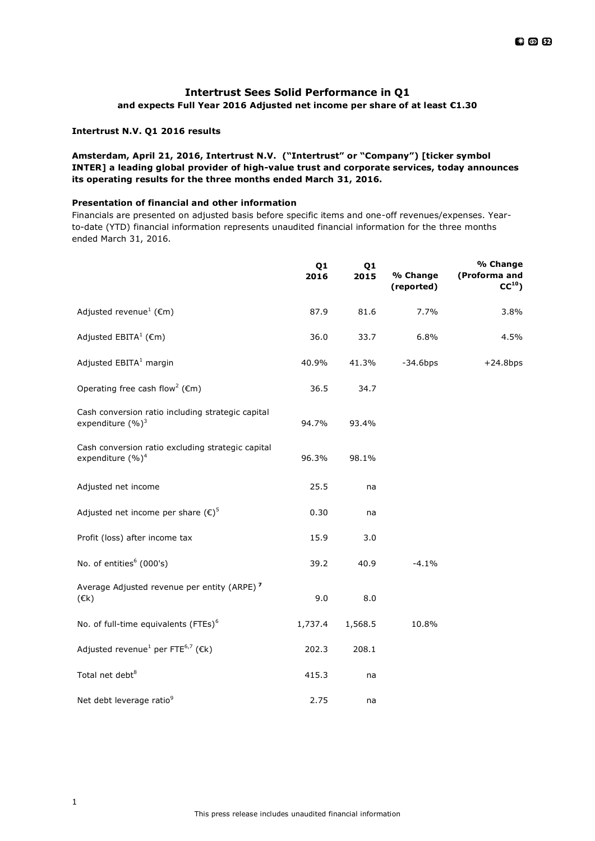# **Intertrust Sees Solid Performance in Q1**

# **and expects Full Year 2016 Adjusted net income per share of at least €1.30**

### **Intertrust N.V. Q1 2016 results**

# **Amsterdam, April 21, 2016, Intertrust N.V. ("Intertrust" or "Company") [ticker symbol INTER] a leading global provider of high-value trust and corporate services, today announces its operating results for the three months ended March 31, 2016.**

## **Presentation of financial and other information**

Financials are presented on adjusted basis before specific items and one-off revenues/expenses. Yearto-date (YTD) financial information represents unaudited financial information for the three months ended March 31, 2016.

|                                                                                   | Q1<br>2016 | Q1<br>2015 | % Change<br>(reported) | % Change<br>(Proforma and<br>CC <sup>10</sup> |
|-----------------------------------------------------------------------------------|------------|------------|------------------------|-----------------------------------------------|
| Adjusted revenue <sup>1</sup> ( $\epsilon$ m)                                     | 87.9       | 81.6       | 7.7%                   | 3.8%                                          |
| Adjusted $EBITA^1$ ( $\epsilon$ m)                                                | 36.0       | 33.7       | 6.8%                   | 4.5%                                          |
| Adjusted EBITA <sup>1</sup> margin                                                | 40.9%      | 41.3%      | $-34.6$ bps            | $+24.8$ bps                                   |
| Operating free cash flow <sup>2</sup> ( $\epsilon$ m)                             | 36.5       | 34.7       |                        |                                               |
| Cash conversion ratio including strategic capital<br>expenditure (%) <sup>3</sup> | 94.7%      | 93.4%      |                        |                                               |
| Cash conversion ratio excluding strategic capital<br>expenditure (%) <sup>4</sup> | 96.3%      | 98.1%      |                        |                                               |
| Adjusted net income                                                               | 25.5       | na         |                        |                                               |
| Adjusted net income per share $(\epsilon)^5$                                      | 0.30       | na         |                        |                                               |
| Profit (loss) after income tax                                                    | 15.9       | 3.0        |                        |                                               |
| No. of entities <sup>6</sup> (000's)                                              | 39.2       | 40.9       | $-4.1%$                |                                               |
| Average Adjusted revenue per entity (ARPE) <sup>7</sup><br>$(\varepsilon k)$      | 9.0        | 8.0        |                        |                                               |
| No. of full-time equivalents (FTEs) <sup>6</sup>                                  | 1,737.4    | 1,568.5    | 10.8%                  |                                               |
| Adjusted revenue <sup>1</sup> per FTE <sup>6,7</sup> ( $\epsilon$ k)              | 202.3      | 208.1      |                        |                                               |
| Total net debt <sup>8</sup>                                                       | 415.3      | na         |                        |                                               |
| Net debt leverage ratio <sup>9</sup>                                              | 2.75       | na         |                        |                                               |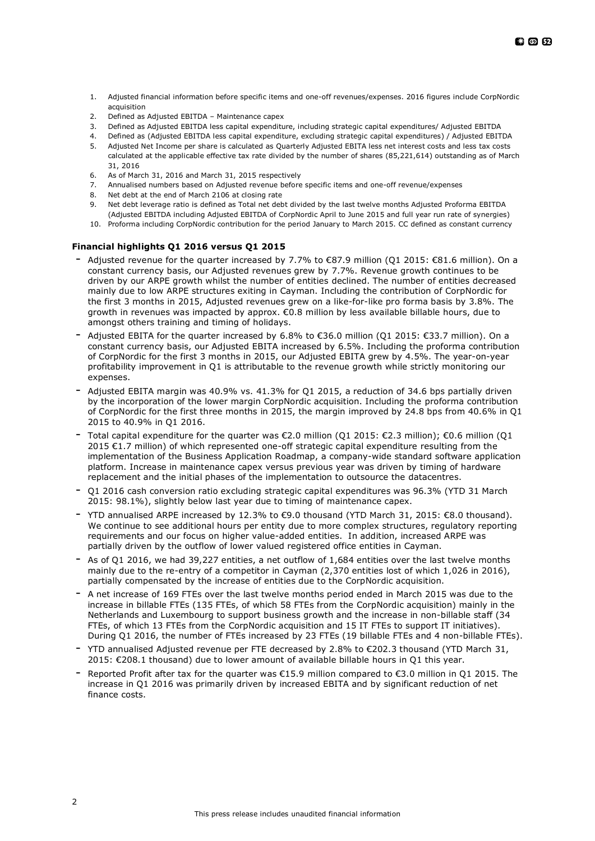- 1. Adjusted financial information before specific items and one-off revenues/expenses. 2016 figures include CorpNordic acquisition
- 2. Defined as Adjusted EBITDA Maintenance capex
- 3. Defined as Adjusted EBITDA less capital expenditure, including strategic capital expenditures/ Adjusted EBITDA
- 4. Defined as (Adjusted EBITDA less capital expenditure, excluding strategic capital expenditures) / Adjusted EBITDA
- 5. Adjusted Net Income per share is calculated as Quarterly Adjusted EBITA less net interest costs and less tax costs calculated at the applicable effective tax rate divided by the number of shares (85,221,614) outstanding as of March 31, 2016
- 6. As of March 31, 2016 and March 31, 2015 respectively
- 7. Annualised numbers based on Adjusted revenue before specific items and one-off revenue/expenses
- 8. Net debt at the end of March 2106 at closing rate
- 9. Net debt leverage ratio is defined as Total net debt divided by the last twelve months Adjusted Proforma EBITDA
- (Adjusted EBITDA including Adjusted EBITDA of CorpNordic April to June 2015 and full year run rate of synergies) 10. Proforma including CorpNordic contribution for the period January to March 2015. CC defined as constant currency

## **Financial highlights Q1 2016 versus Q1 2015**

- Adjusted revenue for the quarter increased by 7.7% to €87.9 million (Q1 2015: €81.6 million). On a constant currency basis, our Adjusted revenues grew by 7.7%. Revenue growth continues to be driven by our ARPE growth whilst the number of entities declined. The number of entities decreased mainly due to low ARPE structures exiting in Cayman. Including the contribution of CorpNordic for the first 3 months in 2015, Adjusted revenues grew on a like-for-like pro forma basis by 3.8%. The growth in revenues was impacted by approx. €0.8 million by less available billable hours, due to amongst others training and timing of holidays.
- Adjusted EBITA for the quarter increased by 6.8% to €36.0 million (Q1 2015: €33.7 million). On a constant currency basis, our Adjusted EBITA increased by 6.5%. Including the proforma contribution of CorpNordic for the first 3 months in 2015, our Adjusted EBITA grew by 4.5%. The year-on-year profitability improvement in Q1 is attributable to the revenue growth while strictly monitoring our expenses.
- Adjusted EBITA margin was 40.9% vs. 41.3% for Q1 2015, a reduction of 34.6 bps partially driven by the incorporation of the lower margin CorpNordic acquisition. Including the proforma contribution of CorpNordic for the first three months in 2015, the margin improved by 24.8 bps from 40.6% in Q1 2015 to 40.9% in Q1 2016.
- Total capital expenditure for the quarter was €2.0 million (Q1 2015: €2.3 million); €0.6 million (Q1 2015 €1.7 million) of which represented one-off strategic capital expenditure resulting from the implementation of the Business Application Roadmap, a company-wide standard software application platform. Increase in maintenance capex versus previous year was driven by timing of hardware replacement and the initial phases of the implementation to outsource the datacentres.
- Q1 2016 cash conversion ratio excluding strategic capital expenditures was 96.3% (YTD 31 March 2015: 98.1%), slightly below last year due to timing of maintenance capex.
- YTD annualised ARPE increased by 12.3% to €9.0 thousand (YTD March 31, 2015: €8.0 thousand). We continue to see additional hours per entity due to more complex structures, regulatory reporting requirements and our focus on higher value-added entities. In addition, increased ARPE was partially driven by the outflow of lower valued registered office entities in Cayman.
- As of Q1 2016, we had 39,227 entities, a net outflow of 1,684 entities over the last twelve months mainly due to the re-entry of a competitor in Cayman (2,370 entities lost of which 1,026 in 2016), partially compensated by the increase of entities due to the CorpNordic acquisition.
- A net increase of 169 FTEs over the last twelve months period ended in March 2015 was due to the increase in billable FTEs (135 FTEs, of which 58 FTEs from the CorpNordic acquisition) mainly in the Netherlands and Luxembourg to support business growth and the increase in non-billable staff (34 FTEs, of which 13 FTEs from the CorpNordic acquisition and 15 IT FTEs to support IT initiatives). During Q1 2016, the number of FTEs increased by 23 FTEs (19 billable FTEs and 4 non-billable FTEs).
- YTD annualised Adjusted revenue per FTE decreased by 2.8% to €202.3 thousand (YTD March 31, 2015: €208.1 thousand) due to lower amount of available billable hours in Q1 this year.
- Reported Profit after tax for the quarter was  $£15.9$  million compared to  $£3.0$  million in O1 2015. The increase in Q1 2016 was primarily driven by increased EBITA and by significant reduction of net finance costs.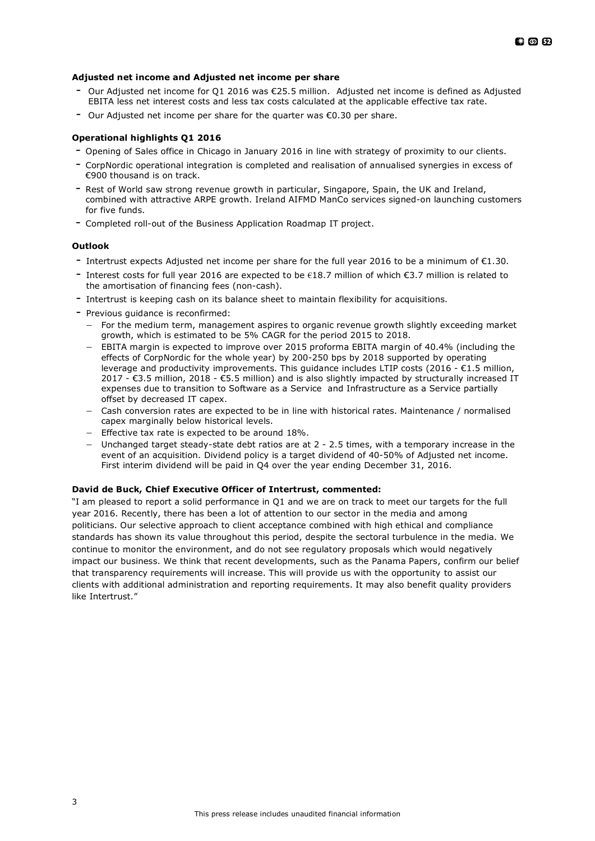### **Adjusted net income and Adjusted net income per share**

- Our Adjusted net income for Q1 2016 was €25.5 million. Adjusted net income is defined as Adjusted EBITA less net interest costs and less tax costs calculated at the applicable effective tax rate.
- Our Adjusted net income per share for the quarter was €0.30 per share.

# **Operational highlights Q1 2016**

- Opening of Sales office in Chicago in January 2016 in line with strategy of proximity to our clients.
- CorpNordic operational integration is completed and realisation of annualised synergies in excess of €900 thousand is on track.
- Rest of World saw strong revenue growth in particular, Singapore, Spain, the UK and Ireland, combined with attractive ARPE growth. Ireland AIFMD ManCo services signed-on launching customers for five funds.
- Completed roll-out of the Business Application Roadmap IT project.

## **Outlook**

- Intertrust expects Adjusted net income per share for the full year <sup>2016</sup> to be <sup>a</sup> minimum of €1.30.
- Interest costs for full year 2016 are expected to be  $\epsilon$ 18.7 million of which  $\epsilon$ 3.7 million is related to the amortisation of financing fees (non-cash).
- Intertrust is keeping cash on its balance sheet to maintain flexibility for acquisitions.
- Previous guidance is reconfirmed:
	- For the medium term, management aspires to organic revenue growth slightly exceeding market growth, which is estimated to be 5% CAGR for the period 2015 to 2018.
	- EBITA margin is expected to improve over 2015 proforma EBITA margin of 40.4% (including the effects of CorpNordic for the whole year) by 200-250 bps by 2018 supported by operating leverage and productivity improvements. This guidance includes LTIP costs (2016 - €1.5 million, 2017 - €3.5 million, 2018 - €5.5 million) and is also slightly impacted by structurally increased IT expenses due to transition to Software as a Service and Infrastructure as a Service partially offset by decreased IT capex.
	- Cash conversion rates are expected to be in line with historical rates. Maintenance / normalised capex marginally below historical levels.
	- Effective tax rate is expected to be around 18%.
	- Unchanged target steady-state debt ratios are at 2 2.5 times, with a temporary increase in the event of an acquisition. Dividend policy is a target dividend of 40-50% of Adjusted net income. First interim dividend will be paid in Q4 over the year ending December 31, 2016.

### **David de Buck, Chief Executive Officer of Intertrust, commented:**

"I am pleased to report a solid performance in Q1 and we are on track to meet our targets for the full year 2016. Recently, there has been a lot of attention to our sector in the media and among politicians. Our selective approach to client acceptance combined with high ethical and compliance standards has shown its value throughout this period, despite the sectoral turbulence in the media. We continue to monitor the environment, and do not see regulatory proposals which would negatively impact our business. We think that recent developments, such as the Panama Papers, confirm our belief that transparency requirements will increase. This will provide us with the opportunity to assist our clients with additional administration and reporting requirements. It may also benefit quality providers like Intertrust."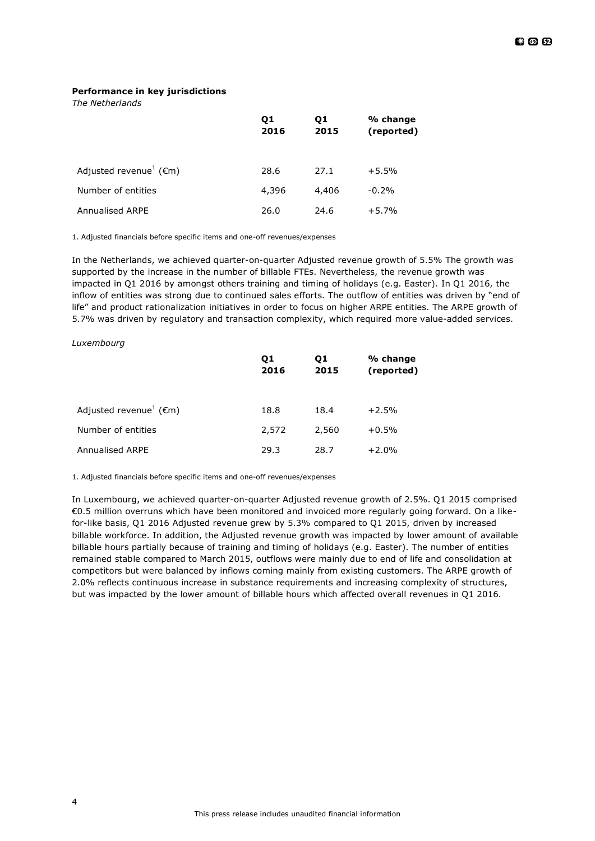### **Performance in key jurisdictions**

*The Netherlands*

|                                               | Q1<br>2016 | Q1<br>2015 | % change<br>(reported) |
|-----------------------------------------------|------------|------------|------------------------|
| Adjusted revenue <sup>1</sup> ( $\epsilon$ m) | 28.6       | 27.1       | $+5.5%$                |
| Number of entities                            | 4,396      | 4,406      | $-0.2%$                |
| <b>Annualised ARPE</b>                        | 26.0       | 24.6       | $+5.7%$                |

1. Adjusted financials before specific items and one-off revenues/expenses

In the Netherlands, we achieved quarter-on-quarter Adjusted revenue growth of 5.5% The growth was supported by the increase in the number of billable FTEs. Nevertheless, the revenue growth was impacted in Q1 2016 by amongst others training and timing of holidays (e.g. Easter). In Q1 2016, the inflow of entities was strong due to continued sales efforts. The outflow of entities was driven by "end of life" and product rationalization initiatives in order to focus on higher ARPE entities. The ARPE growth of 5.7% was driven by regulatory and transaction complexity, which required more value-added services.

#### *Luxembourg*

|                                               | Q1<br>2016 | Q1<br>2015 | % change<br>(reported) |
|-----------------------------------------------|------------|------------|------------------------|
| Adjusted revenue <sup>1</sup> ( $\epsilon$ m) | 18.8       | 18.4       | $+2.5%$                |
| Number of entities                            | 2,572      | 2,560      | $+0.5%$                |
| Annualised ARPE                               | 29.3       | 28.7       | $+2.0%$                |

1. Adjusted financials before specific items and one-off revenues/expenses

In Luxembourg, we achieved quarter-on-quarter Adjusted revenue growth of 2.5%. Q1 2015 comprised €0.5 million overruns which have been monitored and invoiced more regularly going forward. On a likefor-like basis, Q1 2016 Adjusted revenue grew by 5.3% compared to Q1 2015, driven by increased billable workforce. In addition, the Adjusted revenue growth was impacted by lower amount of available billable hours partially because of training and timing of holidays (e.g. Easter). The number of entities remained stable compared to March 2015, outflows were mainly due to end of life and consolidation at competitors but were balanced by inflows coming mainly from existing customers. The ARPE growth of 2.0% reflects continuous increase in substance requirements and increasing complexity of structures, but was impacted by the lower amount of billable hours which affected overall revenues in Q1 2016.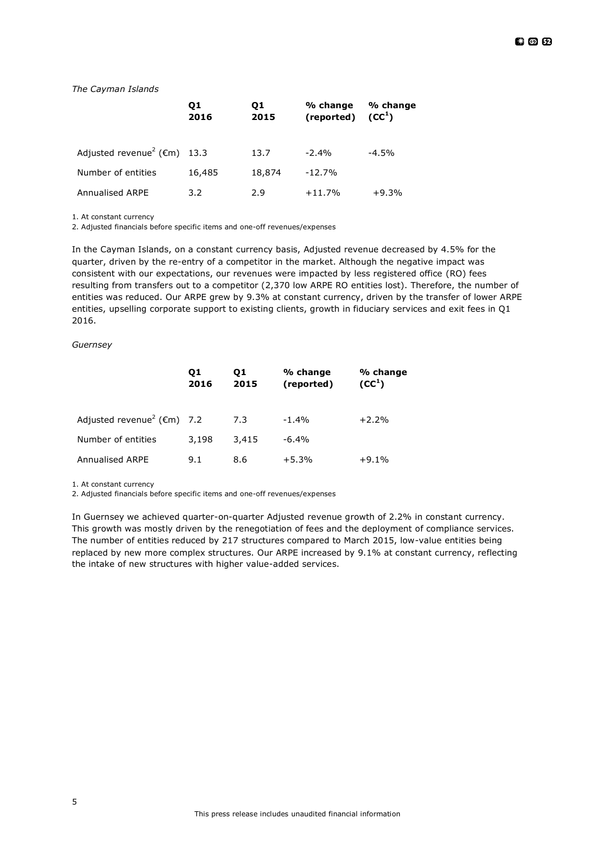### *The Cayman Islands*

|                                                    | Q1<br>2016 | 01<br>2015 | % change<br>(reported) | % change<br>(CC <sup>1</sup> ) |
|----------------------------------------------------|------------|------------|------------------------|--------------------------------|
| Adjusted revenue <sup>2</sup> ( $\epsilon$ m) 13.3 |            | 13.7       | $-2.4%$                | $-4.5%$                        |
| Number of entities                                 | 16,485     | 18,874     | $-12.7%$               |                                |
| Annualised ARPE                                    | 3.2        | 2.9        | $+11.7%$               | $+9.3%$                        |

1. At constant currency

2. Adjusted financials before specific items and one-off revenues/expenses

In the Cayman Islands, on a constant currency basis, Adjusted revenue decreased by 4.5% for the quarter, driven by the re-entry of a competitor in the market. Although the negative impact was consistent with our expectations, our revenues were impacted by less registered office (RO) fees resulting from transfers out to a competitor (2,370 low ARPE RO entities lost). Therefore, the number of entities was reduced. Our ARPE grew by 9.3% at constant currency, driven by the transfer of lower ARPE entities, upselling corporate support to existing clients, growth in fiduciary services and exit fees in Q1 2016.

#### *Guernsey*

|                                                   | Q1<br>2016 | 01<br>2015 | % change<br>(reported) | % change<br>(CC <sup>1</sup> ) |
|---------------------------------------------------|------------|------------|------------------------|--------------------------------|
| Adjusted revenue <sup>2</sup> ( $\epsilon$ m) 7.2 |            | 7.3        | $-1.4%$                | $+2.2%$                        |
| Number of entities                                | 3,198      | 3,415      | $-6.4%$                |                                |
| Annualised ARPE                                   | 9.1        | 8.6        | $+5.3%$                | $+9.1%$                        |

1. At constant currency

2. Adjusted financials before specific items and one-off revenues/expenses

In Guernsey we achieved quarter-on-quarter Adjusted revenue growth of 2.2% in constant currency. This growth was mostly driven by the renegotiation of fees and the deployment of compliance services. The number of entities reduced by 217 structures compared to March 2015, low-value entities being replaced by new more complex structures. Our ARPE increased by 9.1% at constant currency, reflecting the intake of new structures with higher value-added services.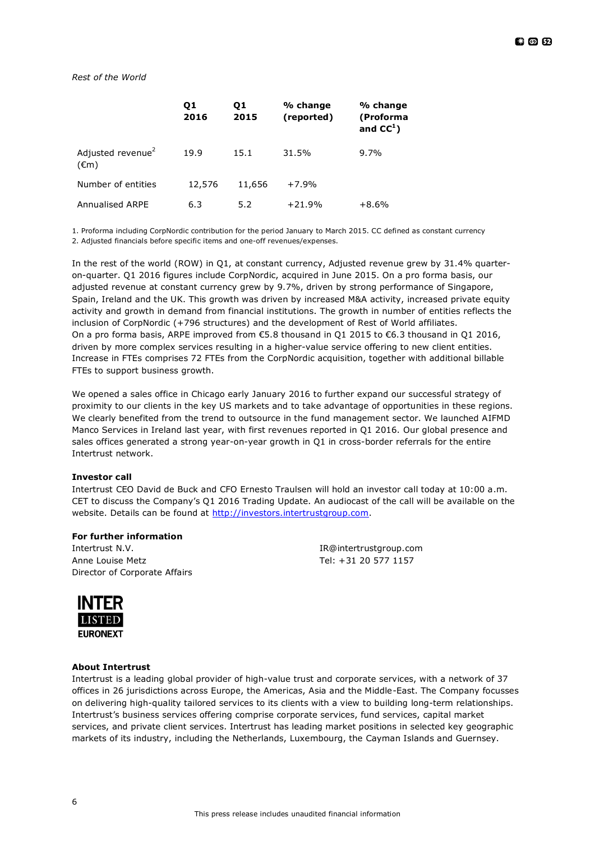## *Rest of the World*

|                                                 | Q1<br>2016 | 01<br>2015 | % change<br>(reported) | % change<br>(Proforma<br>and $CC1$ ) |
|-------------------------------------------------|------------|------------|------------------------|--------------------------------------|
| Adjusted revenue <sup>2</sup><br>$(\epsilon m)$ | 19.9       | 15.1       | 31.5%                  | $9.7\%$                              |
| Number of entities                              | 12,576     | 11,656     | $+7.9%$                |                                      |
| <b>Annualised ARPE</b>                          | 6.3        | 5.2        | $+21.9%$               | $+8.6%$                              |

1. Proforma including CorpNordic contribution for the period January to March 2015. CC defined as constant currency

2. Adjusted financials before specific items and one-off revenues/expenses.

In the rest of the world (ROW) in Q1, at constant currency, Adjusted revenue grew by 31.4% quarteron-quarter. Q1 2016 figures include CorpNordic, acquired in June 2015. On a pro forma basis, our adjusted revenue at constant currency grew by 9.7%, driven by strong performance of Singapore, Spain, Ireland and the UK. This growth was driven by increased M&A activity, increased private equity activity and growth in demand from financial institutions. The growth in number of entities reflects the inclusion of CorpNordic (+796 structures) and the development of Rest of World affiliates. On a pro forma basis, ARPE improved from €5.8 thousand in Q1 2015 to €6.3 thousand in Q1 2016, driven by more complex services resulting in a higher-value service offering to new client entities. Increase in FTEs comprises 72 FTEs from the CorpNordic acquisition, together with additional billable FTEs to support business growth.

We opened a sales office in Chicago early January 2016 to further expand our successful strategy of proximity to our clients in the key US markets and to take advantage of opportunities in these regions. We clearly benefited from the trend to outsource in the fund management sector. We launched AIFMD Manco Services in Ireland last year, with first revenues reported in Q1 2016. Our global presence and sales offices generated a strong year-on-year growth in Q1 in cross-border referrals for the entire Intertrust network.

### **Investor call**

Intertrust CEO David de Buck and CFO Ernesto Traulsen will hold an investor call today at 10:00 a.m. CET to discuss the Company's Q1 2016 Trading Update. An audiocast of the call will be available on the website. Details can be found at [http://investors.intertrustgroup.com.](http://investors.intertrustgroup.com/)

## **For further information**

Intertrust N.V. IR@intertrustgroup.com Anne Louise Metz **Tel: +31 20 577 1157** Director of Corporate Affairs



### **About Intertrust**

Intertrust is a leading global provider of high-value trust and corporate services, with a network of 37 offices in 26 jurisdictions across Europe, the Americas, Asia and the Middle-East. The Company focusses on delivering high-quality tailored services to its clients with a view to building long-term relationships. Intertrust's business services offering comprise corporate services, fund services, capital market services, and private client services. Intertrust has leading market positions in selected key geographic markets of its industry, including the Netherlands, Luxembourg, the Cayman Islands and Guernsey.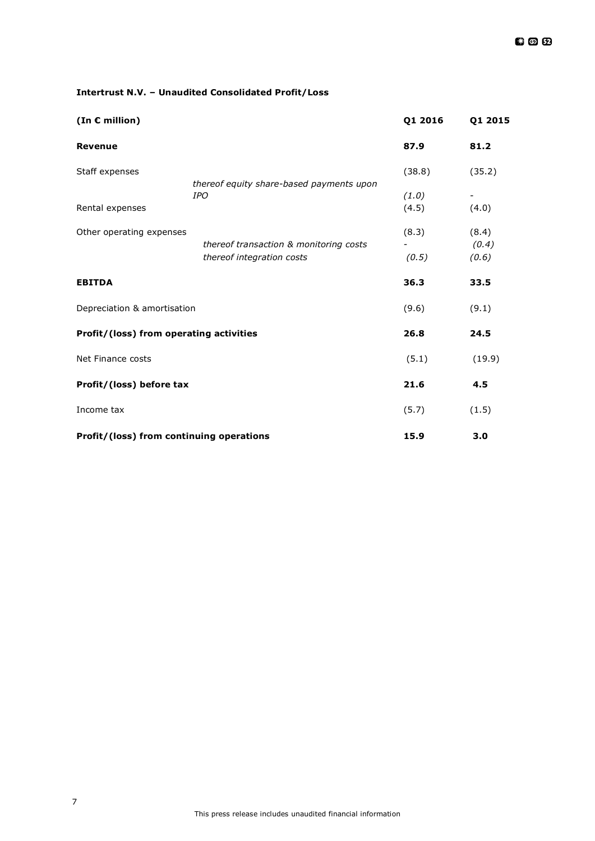# **Intertrust N.V. – Unaudited Consolidated Profit/Loss**

| (In $\epsilon$ million)                  |                                                        | Q1 2016 | Q1 2015 |
|------------------------------------------|--------------------------------------------------------|---------|---------|
| <b>Revenue</b>                           |                                                        | 87.9    | 81.2    |
| Staff expenses                           |                                                        | (38.8)  | (35.2)  |
|                                          | thereof equity share-based payments upon<br><b>IPO</b> | (1.0)   |         |
| Rental expenses                          |                                                        | (4.5)   | (4.0)   |
| Other operating expenses                 |                                                        | (8.3)   | (8.4)   |
|                                          | thereof transaction & monitoring costs                 |         | (0.4)   |
|                                          | thereof integration costs                              | (0.5)   | (0.6)   |
| <b>EBITDA</b>                            |                                                        | 36.3    | 33.5    |
| Depreciation & amortisation              |                                                        | (9.6)   | (9.1)   |
| Profit/(loss) from operating activities  |                                                        | 26.8    | 24.5    |
| Net Finance costs                        |                                                        | (5.1)   | (19.9)  |
| Profit/(loss) before tax                 |                                                        | 21.6    | 4.5     |
| Income tax                               |                                                        | (5.7)   | (1.5)   |
| Profit/(loss) from continuing operations |                                                        | 15.9    | 3.0     |